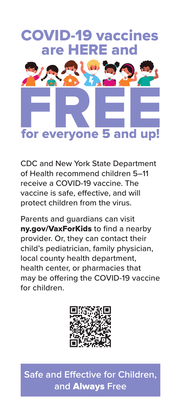## COVID-19 vaccines are HERE and



CDC and New York State Department of Health recommend children 5–11 receive a COVID-19 vaccine. The vaccine is safe, effective, and will protect children from the virus.

Parents and guardians can visit nv.gov/VaxForKids to find a nearby provider. Or, they can contact their child's pediatrician, family physician, local county health department, health center, or pharmacies that may be offering the COVID-19 vaccine for children.



**Safe and Effective for Children, and** Always **Free**